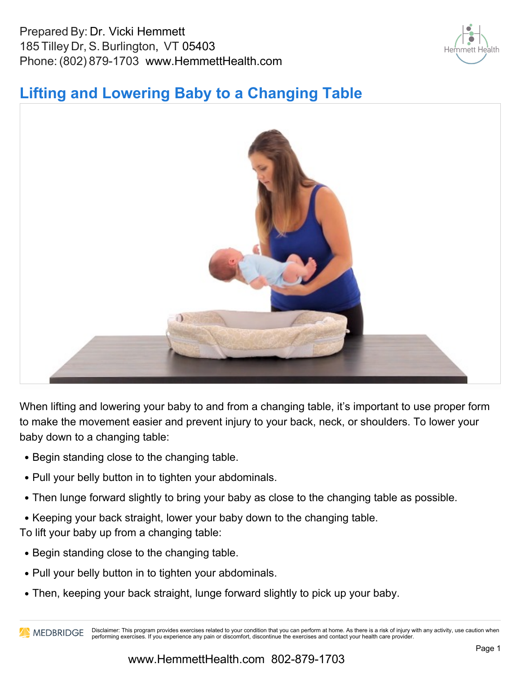Prepared By: Dr. Vicki Hemmett 185 Tilley Dr, S. Burlington, VT 05403 Phone: (802) 879-1703 www.HemmettHealth.com



## **Lifting and Lowering Baby to a Changing Table**



When lifting and lowering your baby to and from a changing table, it's important to use proper form to make the movement easier and prevent injury to your back, neck, or shoulders. To lower your baby down to a changing table:

- Begin standing close to the changing table.
- Pull your belly button in to tighten your abdominals.
- Then lunge forward slightly to bring your baby as close to the changing table as possible.
- Keeping your back straight, lower your baby down to the changing table.

To lift your baby up from a changing table:

- Begin standing close to the changing table.
- Pull your belly button in to tighten your abdominals.
- Then, keeping your back straight, lunge forward slightly to pick up your baby.

MEDBRIDGE Disclaimer: This program provides exercises related to your condition that you can perform at home. As there is a risk of injury with any activity, use caution when performing exercises. If you experience any pain or discomfort, discontinue the exercises and contact your health care provider.

#### www.HemmettHealth.com 802-879-1703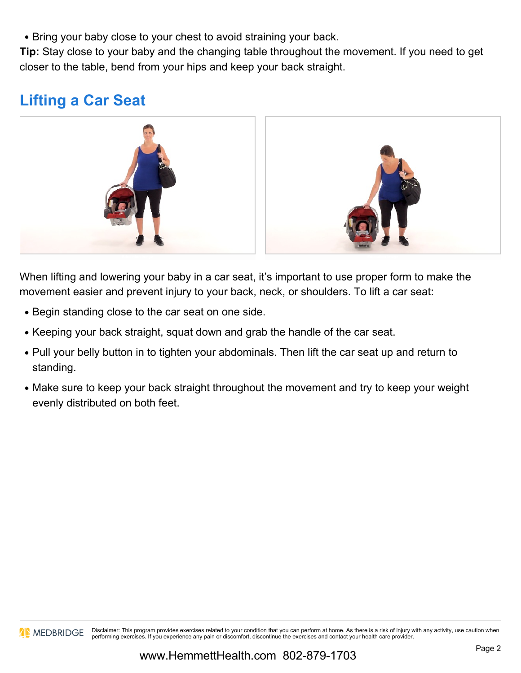• Bring your baby close to your chest to avoid straining your back.

**Tip:** Stay close to your baby and the changing table throughout the movement. If you need to get closer to the table, bend from your hips and keep your back straight.

# **Lifting a Car Seat**



When lifting and lowering your baby in a car seat, it's important to use proper form to make the movement easier and prevent injury to your back, neck, or shoulders. To lift a car seat:

- Begin standing close to the car seat on one side.
- Keeping your back straight, squat down and grab the handle of the car seat.
- Pull your belly button in to tighten your abdominals. Then lift the car seat up and return to standing.
- Make sure to keep your back straight throughout the movement and try to keep your weight evenly distributed on both feet.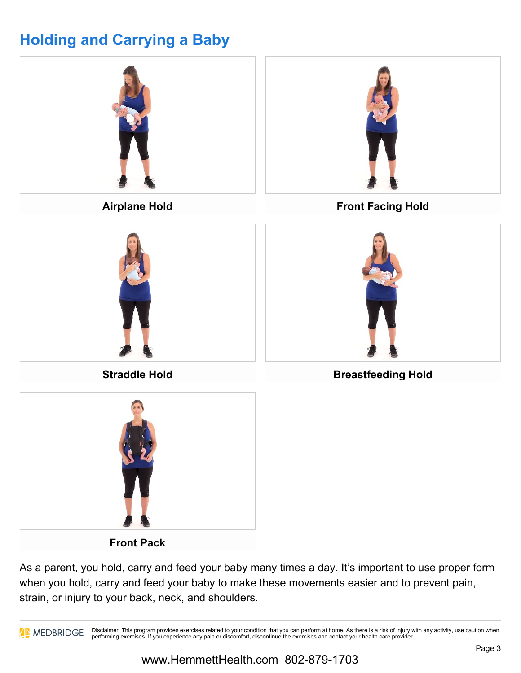# **Holding and Carrying a Baby**



As a parent, you hold, carry and feed your baby many times a day. It's important to use proper form when you hold, carry and feed your baby to make these movements easier and to prevent pain, strain, or injury to your back, neck, and shoulders.

**Disclaimer:** This program provides exercises related to your condition that you can perform at home. As there is a risk of injury with any activity, use caution when performing exercises. If you experience any pain or discomfort, discontinue the exercises and contact your health care provider.

### www.HemmettHealth.com 802-879-1703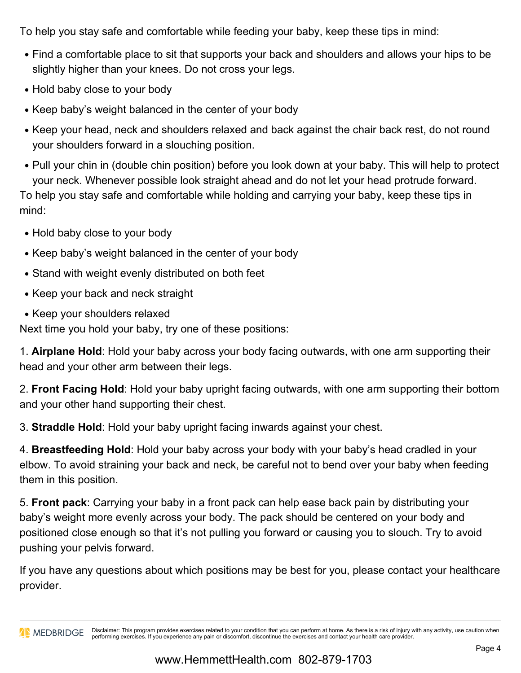To help you stay safe and comfortable while feeding your baby, keep these tips in mind:

- Find a comfortable place to sit that supports your back and shoulders and allows your hips to be slightly higher than your knees. Do not cross your legs.
- Hold baby close to your body
- Keep baby's weight balanced in the center of your body
- Keep your head, neck and shoulders relaxed and back against the chair back rest, do not round your shoulders forward in a slouching position.
- Pull your chin in (double chin position) before you look down at your baby. This will help to protect your neck. Whenever possible look straight ahead and do not let your head protrude forward. To help you stay safe and comfortable while holding and carrying your baby, keep these tips in mind:
- Hold baby close to your body
- Keep baby's weight balanced in the center of your body
- Stand with weight evenly distributed on both feet
- Keep your back and neck straight
- Keep your shoulders relaxed

Next time you hold your baby, try one of these positions:

1. **Airplane Hold**: Hold your baby across your body facing outwards, with one arm supporting their head and your other arm between their legs.

2. **Front Facing Hold**: Hold your baby upright facing outwards, with one arm supporting their bottom and your other hand supporting their chest.

3. **Straddle Hold**: Hold your baby upright facing inwards against your chest.

4. **Breastfeeding Hold**: Hold your baby across your body with your baby's head cradled in your elbow. To avoid straining your back and neck, be careful not to bend over your baby when feeding them in this position.

5. **Front pack**: Carrying your baby in a front pack can help ease back pain by distributing your baby's weight more evenly across your body. The pack should be centered on your body and positioned close enough so that it's not pulling you forward or causing you to slouch. Try to avoid pushing your pelvis forward.

If you have any questions about which positions may be best for you, please contact your healthcare provider.